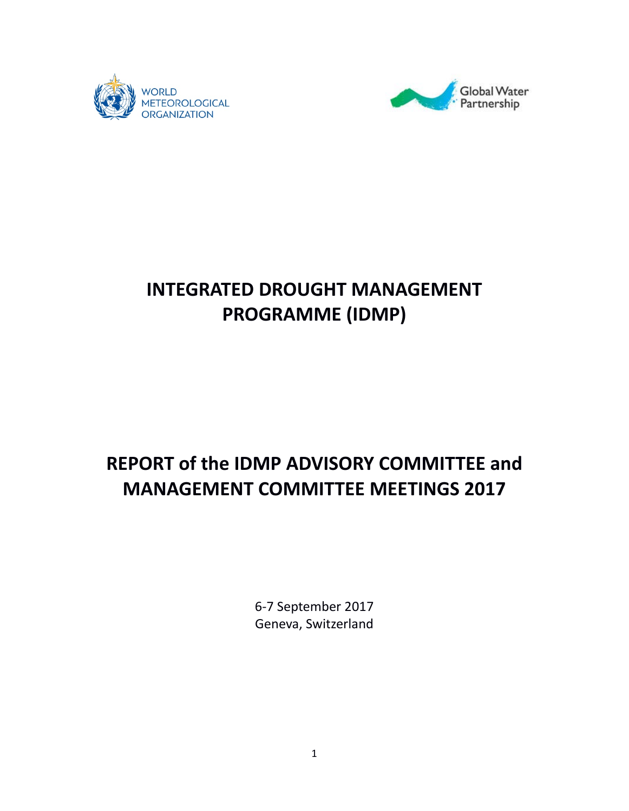



# **INTEGRATED DROUGHT MANAGEMENT PROGRAMME (IDMP)**

# **REPORT of the IDMP ADVISORY COMMITTEE and MANAGEMENT COMMITTEE MEETINGS 2017**

6-7 September 2017 Geneva, Switzerland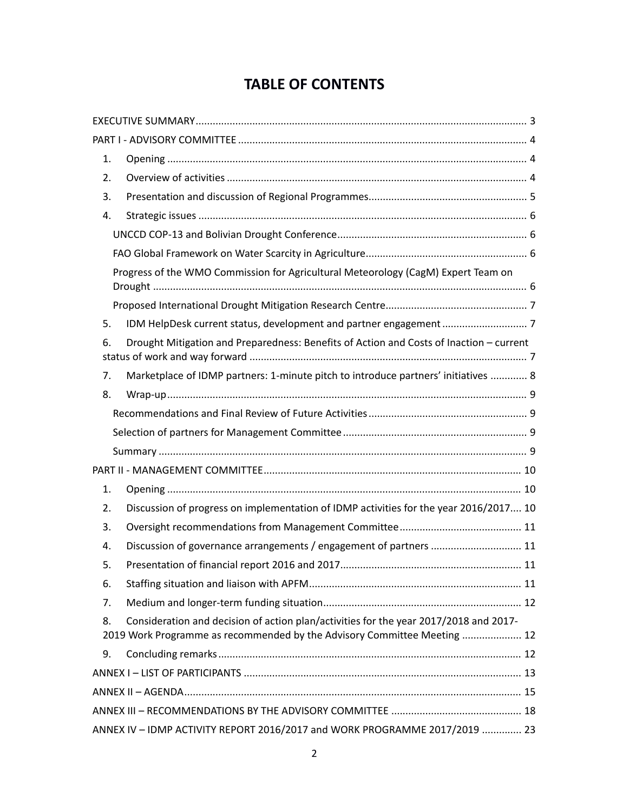# **TABLE OF CONTENTS**

| 1. |                                                                                                                                                                   |  |
|----|-------------------------------------------------------------------------------------------------------------------------------------------------------------------|--|
| 2. |                                                                                                                                                                   |  |
| 3. |                                                                                                                                                                   |  |
| 4. |                                                                                                                                                                   |  |
|    |                                                                                                                                                                   |  |
|    |                                                                                                                                                                   |  |
|    | Progress of the WMO Commission for Agricultural Meteorology (CagM) Expert Team on                                                                                 |  |
|    |                                                                                                                                                                   |  |
| 5. |                                                                                                                                                                   |  |
| 6. | Drought Mitigation and Preparedness: Benefits of Action and Costs of Inaction - current                                                                           |  |
| 7. | Marketplace of IDMP partners: 1-minute pitch to introduce partners' initiatives  8                                                                                |  |
| 8. |                                                                                                                                                                   |  |
|    |                                                                                                                                                                   |  |
|    |                                                                                                                                                                   |  |
|    |                                                                                                                                                                   |  |
|    |                                                                                                                                                                   |  |
| 1. |                                                                                                                                                                   |  |
| 2. | Discussion of progress on implementation of IDMP activities for the year 2016/2017 10                                                                             |  |
| 3. |                                                                                                                                                                   |  |
| 4. | Discussion of governance arrangements / engagement of partners  11                                                                                                |  |
| 5. |                                                                                                                                                                   |  |
| 6. |                                                                                                                                                                   |  |
| 7. |                                                                                                                                                                   |  |
| 8. | Consideration and decision of action plan/activities for the year 2017/2018 and 2017-<br>2019 Work Programme as recommended by the Advisory Committee Meeting  12 |  |
| 9. |                                                                                                                                                                   |  |
|    |                                                                                                                                                                   |  |
|    |                                                                                                                                                                   |  |
|    |                                                                                                                                                                   |  |
|    | ANNEX IV - IDMP ACTIVITY REPORT 2016/2017 and WORK PROGRAMME 2017/2019  23                                                                                        |  |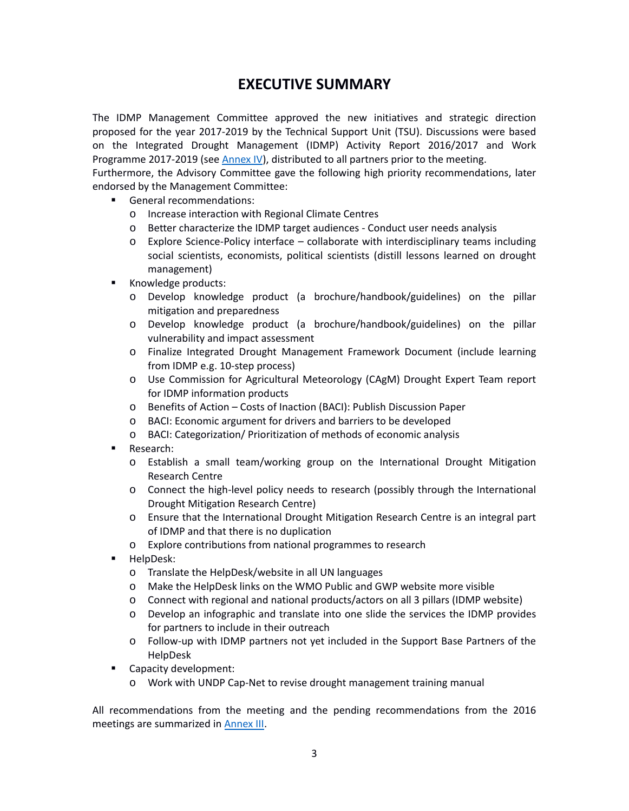# **EXECUTIVE SUMMARY**

<span id="page-2-0"></span>The IDMP Management Committee approved the new initiatives and strategic direction proposed for the year 2017-2019 by the Technical Support Unit (TSU). Discussions were based on the Integrated Drought Management (IDMP) Activity Report 2016/2017 and Work Programme 2017-2019 (see [Annex IV\)](#page-22-0), distributed to all partners prior to the meeting.

Furthermore, the Advisory Committee gave the following high priority recommendations, later endorsed by the Management Committee:

- General recommendations:
	- o Increase interaction with Regional Climate Centres
	- o Better characterize the IDMP target audiences Conduct user needs analysis
	- $\circ$  Explore Science-Policy interface collaborate with interdisciplinary teams including social scientists, economists, political scientists (distill lessons learned on drought management)
- **Knowledge products:** 
	- o Develop knowledge product (a brochure/handbook/guidelines) on the pillar mitigation and preparedness
	- o Develop knowledge product (a brochure/handbook/guidelines) on the pillar vulnerability and impact assessment
	- o Finalize Integrated Drought Management Framework Document (include learning from IDMP e.g. 10-step process)
	- o Use Commission for Agricultural Meteorology (CAgM) Drought Expert Team report for IDMP information products
	- o Benefits of Action Costs of Inaction (BACI): Publish Discussion Paper
	- o BACI: Economic argument for drivers and barriers to be developed
	- o BACI: Categorization/ Prioritization of methods of economic analysis
- **Research:** 
	- o Establish a small team/working group on the International Drought Mitigation Research Centre
	- o Connect the high-level policy needs to research (possibly through the International Drought Mitigation Research Centre)
	- o Ensure that the International Drought Mitigation Research Centre is an integral part of IDMP and that there is no duplication
	- o Explore contributions from national programmes to research
- **HelpDesk:** 
	- o Translate the HelpDesk/website in all UN languages
	- o Make the HelpDesk links on the WMO Public and GWP website more visible
	- o Connect with regional and national products/actors on all 3 pillars (IDMP website)
	- o Develop an infographic and translate into one slide the services the IDMP provides for partners to include in their outreach
	- o Follow-up with IDMP partners not yet included in the Support Base Partners of the HelpDesk
- **Capacity development:** 
	- o Work with UNDP Cap-Net to revise drought management training manual

All recommendations from the meeting and the pending recommendations from the 2016 meetings are summarized in [Annex III.](#page-17-0)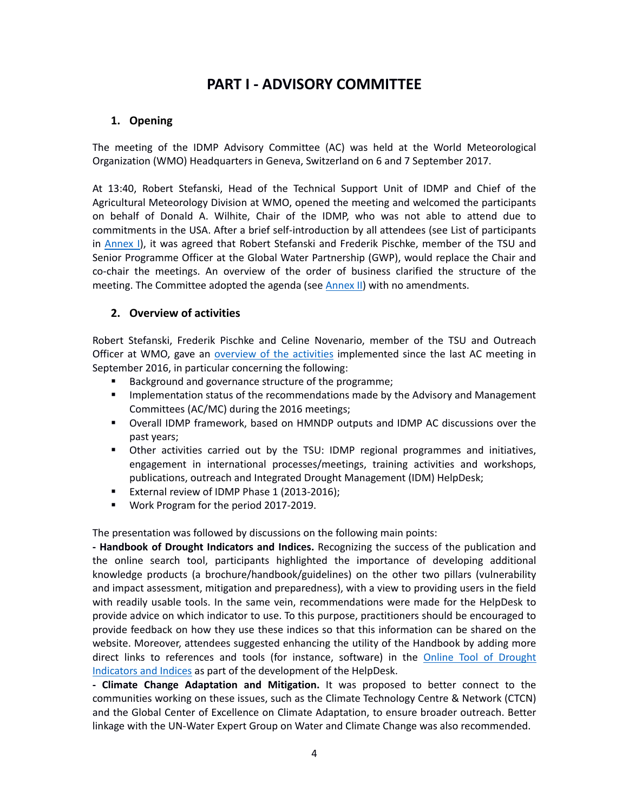# **PART I - ADVISORY COMMITTEE**

### <span id="page-3-1"></span><span id="page-3-0"></span>**1. Opening**

The meeting of the IDMP Advisory Committee (AC) was held at the World Meteorological Organization (WMO) Headquarters in Geneva, Switzerland on 6 and 7 September 2017.

At 13:40, Robert Stefanski, Head of the Technical Support Unit of IDMP and Chief of the Agricultural Meteorology Division at WMO, opened the meeting and welcomed the participants on behalf of Donald A. Wilhite, Chair of the IDMP, who was not able to attend due to commitments in the USA. After a brief self-introduction by all attendees (see List of participants in [Annex I\)](#page-12-0), it was agreed that Robert Stefanski and Frederik Pischke, member of the TSU and Senior Programme Officer at the Global Water Partnership (GWP), would replace the Chair and co-chair the meetings. An overview of the order of business clarified the structure of the meeting. The Committee adopted the agenda (see [Annex II\)](#page-14-0) with no amendments.

### <span id="page-3-2"></span>**2. Overview of activities**

Robert Stefanski, Frederik Pischke and Celine Novenario, member of the TSU and Outreach Officer at WMO, gave an [overview of the activities](http://www.droughtmanagement.info/wp-content/uploads/2017/08/1_1_IDMP_AC_Overview_2017.pdf) implemented since the last AC meeting in September 2016, in particular concerning the following:

- Background and governance structure of the programme;
- **IMPLEM** Implementation status of the recommendations made by the Advisory and Management Committees (AC/MC) during the 2016 meetings;
- Overall IDMP framework, based on HMNDP outputs and IDMP AC discussions over the past years;
- Other activities carried out by the TSU: IDMP regional programmes and initiatives, engagement in international processes/meetings, training activities and workshops, publications, outreach and Integrated Drought Management (IDM) HelpDesk;
- **EXTERERY IDMP Phase 1 (2013-2016);**
- **Work Program for the period 2017-2019.**

The presentation was followed by discussions on the following main points:

**- Handbook of Drought Indicators and Indices.** Recognizing the success of the publication and the online search tool, participants highlighted the importance of developing additional knowledge products (a brochure/handbook/guidelines) on the other two pillars (vulnerability and impact assessment, mitigation and preparedness), with a view to providing users in the field with readily usable tools. In the same vein, recommendations were made for the HelpDesk to provide advice on which indicator to use. To this purpose, practitioners should be encouraged to provide feedback on how they use these indices so that this information can be shared on the website. Moreover, attendees suggested enhancing the utility of the Handbook by adding more direct links to references and tools (for instance, software) in the [Online Tool of Drought](http://www.droughtmanagement.info/indices/)  [Indicators and Indices](http://www.droughtmanagement.info/indices/) as part of the development of the HelpDesk.

**- Climate Change Adaptation and Mitigation.** It was proposed to better connect to the communities working on these issues, such as the Climate Technology Centre & Network (CTCN) and the Global Center of Excellence on Climate Adaptation, to ensure broader outreach. Better linkage with the UN-Water Expert Group on Water and Climate Change was also recommended.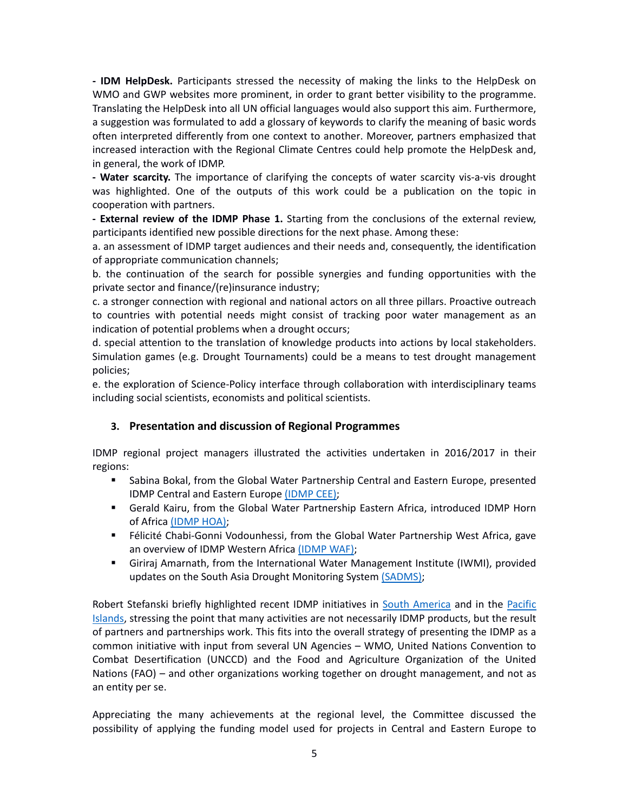**- IDM HelpDesk.** Participants stressed the necessity of making the links to the HelpDesk on WMO and GWP websites more prominent, in order to grant better visibility to the programme. Translating the HelpDesk into all UN official languages would also support this aim. Furthermore, a suggestion was formulated to add a glossary of keywords to clarify the meaning of basic words often interpreted differently from one context to another. Moreover, partners emphasized that increased interaction with the Regional Climate Centres could help promote the HelpDesk and, in general, the work of IDMP.

**- Water scarcity.** The importance of clarifying the concepts of water scarcity vis-a-vis drought was highlighted. One of the outputs of this work could be a publication on the topic in cooperation with partners.

**- External review of the IDMP Phase 1.** Starting from the conclusions of the external review, participants identified new possible directions for the next phase. Among these:

a. an assessment of IDMP target audiences and their needs and, consequently, the identification of appropriate communication channels;

b. the continuation of the search for possible synergies and funding opportunities with the private sector and finance/(re)insurance industry;

c. a stronger connection with regional and national actors on all three pillars. Proactive outreach to countries with potential needs might consist of tracking poor water management as an indication of potential problems when a drought occurs;

d. special attention to the translation of knowledge products into actions by local stakeholders. Simulation games (e.g. Drought Tournaments) could be a means to test drought management policies;

e. the exploration of Science-Policy interface through collaboration with interdisciplinary teams including social scientists, economists and political scientists.

#### <span id="page-4-0"></span>**3. Presentation and discussion of Regional Programmes**

IDMP regional project managers illustrated the activities undertaken in 2016/2017 in their regions:

- Sabina Bokal, from the Global Water Partnership Central and Eastern Europe, presented IDMP Central and Eastern Europe [\(IDMP CEE\);](http://www.droughtmanagement.info/wp-content/uploads/2017/08/1_2_IDMP-CEE_2017.pdf)
- Gerald Kairu, from the Global Water Partnership Eastern Africa, introduced IDMP Horn of Africa [\(IDMP HOA\);](http://www.droughtmanagement.info/wp-content/uploads/2017/08/1_3_IDMP-HOA_2017.pdf)
- Félicité Chabi-Gonni Vodounhessi, from the Global Water Partnership West Africa, gave an overview of IDMP Western Africa [\(IDMP WAF\);](http://www.droughtmanagement.info/wp-content/uploads/2017/08/1_4_IDMP-WAF_2017.pdf)
- Giriraj Amarnath, from the International Water Management Institute (IWMI), provided updates on the South Asia Drought Monitoring System [\(SADMS\);](http://www.droughtmanagement.info/wp-content/uploads/2017/08/1_5_South-Asia-Drought-Monitoring-System_2017.pdf)

Robert Stefanski briefly highlighted recent IDMP initiatives in [South America](http://www.droughtmanagement.info/wp-content/uploads/2017/08/1_6_South-America_2017.pdf) and in the [Pacific](http://www.droughtmanagement.info/wp-content/uploads/2017/08/1_7_Pacific-Islands_2017.pdf)  [Islands,](http://www.droughtmanagement.info/wp-content/uploads/2017/08/1_7_Pacific-Islands_2017.pdf) stressing the point that many activities are not necessarily IDMP products, but the result of partners and partnerships work. This fits into the overall strategy of presenting the IDMP as a common initiative with input from several UN Agencies – WMO, United Nations Convention to Combat Desertification (UNCCD) and the Food and Agriculture Organization of the United Nations (FAO) – and other organizations working together on drought management, and not as an entity per se.

Appreciating the many achievements at the regional level, the Committee discussed the possibility of applying the funding model used for projects in Central and Eastern Europe to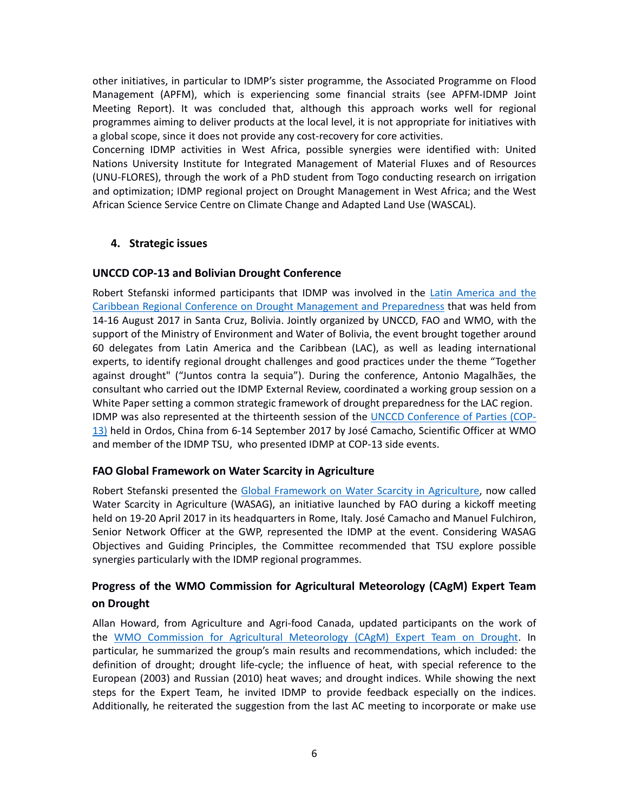other initiatives, in particular to IDMP's sister programme, the Associated Programme on Flood Management (APFM), which is experiencing some financial straits (see APFM-IDMP Joint Meeting Report). It was concluded that, although this approach works well for regional programmes aiming to deliver products at the local level, it is not appropriate for initiatives with a global scope, since it does not provide any cost-recovery for core activities.

Concerning IDMP activities in West Africa, possible synergies were identified with: United Nations University Institute for Integrated Management of Material Fluxes and of Resources (UNU-FLORES), through the work of a PhD student from Togo conducting research on irrigation and optimization; IDMP regional project on Drought Management in West Africa; and the West African Science Service Centre on Climate Change and Adapted Land Use (WASCAL).

#### <span id="page-5-0"></span>**4. Strategic issues**

#### <span id="page-5-1"></span>**UNCCD COP-13 and Bolivian Drought Conference**

Robert Stefanski informed participants that IDMP was involved in the [Latin America and the](http://www.droughtmanagement.info/wp-content/uploads/2017/08/1_8_UNCCD-BolivianDroughtConf-FAO_2017.pdf)  [Caribbean Regional Conference on Drought Management and Preparedness](http://www.droughtmanagement.info/wp-content/uploads/2017/08/1_8_UNCCD-BolivianDroughtConf-FAO_2017.pdf) that was held from 14-16 August 2017 in Santa Cruz, Bolivia. Jointly organized by UNCCD, FAO and WMO, with the support of the Ministry of Environment and Water of Bolivia, the event brought together around 60 delegates from Latin America and the Caribbean (LAC), as well as leading international experts, to identify regional drought challenges and good practices under the theme "Together against drought" ("Juntos contra la sequia"). During the conference, Antonio Magalhães, the consultant who carried out the IDMP External Review, coordinated a working group session on a White Paper setting a common strategic framework of drought preparedness for the LAC region. IDMP was also represented at the thirteenth session of the [UNCCD Conference of Parties \(COP-](http://www.droughtmanagement.info/wp-content/uploads/2017/08/1_8_UNCCD-BolivianDroughtConf-FAO_2017.pdf)[13\)](http://www.droughtmanagement.info/wp-content/uploads/2017/08/1_8_UNCCD-BolivianDroughtConf-FAO_2017.pdf) held in Ordos, China from 6-14 September 2017 by José Camacho, Scientific Officer at WMO and member of the IDMP TSU, who presented IDMP at COP-13 side events.

#### <span id="page-5-2"></span>**FAO Global Framework on Water Scarcity in Agriculture**

Robert Stefanski presented the [Global Framework on Water Scarcity in Agriculture,](http://www.droughtmanagement.info/wp-content/uploads/2017/08/1_8_UNCCD-BolivianDroughtConf-FAO_2017.pdf) now called Water Scarcity in Agriculture (WASAG), an initiative launched by FAO during a kickoff meeting held on 19-20 April 2017 in its headquarters in Rome, Italy. José Camacho and Manuel Fulchiron, Senior Network Officer at the GWP, represented the IDMP at the event. Considering WASAG Objectives and Guiding Principles, the Committee recommended that TSU explore possible synergies particularly with the IDMP regional programmes.

### <span id="page-5-3"></span>**Progress of the WMO Commission for Agricultural Meteorology (CAgM) Expert Team on Drought**

Allan Howard, from Agriculture and Agri-food Canada, updated participants on the work of the [WMO Commission for Agricultural Meteorology \(CAgM\) Expert Team on Drought.](http://www.droughtmanagement.info/wp-content/uploads/2017/08/1_8_Expert-Team-Update_2017.pdf) In particular, he summarized the group's main results and recommendations, which included: the definition of drought; drought life-cycle; the influence of heat, with special reference to the European (2003) and Russian (2010) heat waves; and drought indices. While showing the next steps for the Expert Team, he invited IDMP to provide feedback especially on the indices. Additionally, he reiterated the suggestion from the last AC meeting to incorporate or make use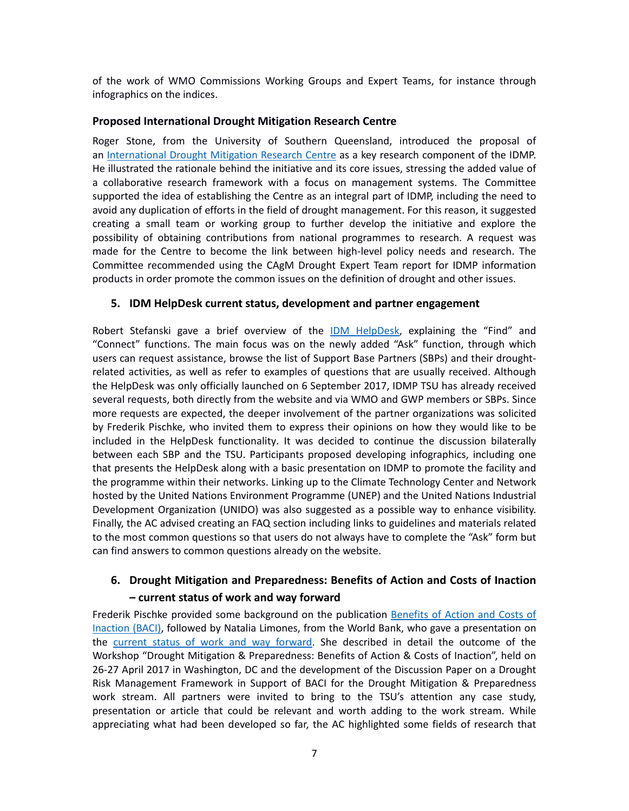of the work of WMO Commissions Working Groups and Expert Teams, for instance through infographics on the indices.

#### <span id="page-6-0"></span>**Proposed International Drought Mitigation Research Centre**

Roger Stone, from the University of Southern Queensland, introduced the proposal of an [International Drought Mitigation Research Centre](http://www.droughtmanagement.info/wp-content/uploads/2017/08/1_9_International-Drought-Mitigation-Research-Center_2017.pdf) as a key research component of the IDMP. He illustrated the rationale behind the initiative and its core issues, stressing the added value of a collaborative research framework with a focus on management systems. The Committee supported the idea of establishing the Centre as an integral part of IDMP, including the need to avoid any duplication of efforts in the field of drought management. For this reason, it suggested creating a small team or working group to further develop the initiative and explore the possibility of obtaining contributions from national programmes to research. A request was made for the Centre to become the link between high-level policy needs and research. The Committee recommended using the CAgM Drought Expert Team report for IDMP information products in order promote the common issues on the definition of drought and other issues.

#### <span id="page-6-1"></span>**5. IDM HelpDesk current status, development and partner engagement**

Robert Stefanski gave a brief overview of the [IDM HelpDesk,](http://www.droughtmanagement.info/wp-content/uploads/2017/08/2_1_IDM-HelpDesk-Presentation_2017.pdf) explaining the "Find" and "Connect" functions. The main focus was on the newly added "Ask" function, through which users can request assistance, browse the list of Support Base Partners (SBPs) and their droughtrelated activities, as well as refer to examples of questions that are usually received. Although the HelpDesk was only officially launched on 6 September 2017, IDMP TSU has already received several requests, both directly from the website and via WMO and GWP members or SBPs. Since more requests are expected, the deeper involvement of the partner organizations was solicited by Frederik Pischke, who invited them to express their opinions on how they would like to be included in the HelpDesk functionality. It was decided to continue the discussion bilaterally between each SBP and the TSU. Participants proposed developing infographics, including one that presents the HelpDesk along with a basic presentation on IDMP to promote the facility and the programme within their networks. Linking up to the Climate Technology Center and Network hosted by the United Nations Environment Programme (UNEP) and the United Nations Industrial Development Organization (UNIDO) was also suggested as a possible way to enhance visibility. Finally, the AC advised creating an FAQ section including links to guidelines and materials related to the most common questions so that users do not always have to complete the "Ask" form but can find answers to common questions already on the website.

### <span id="page-6-2"></span>**6. Drought Mitigation and Preparedness: Benefits of Action and Costs of Inaction – current status of work and way forward**

Frederik Pischke provided some background on the publication [Benefits of Action and Costs of](http://www.droughtmanagement.info/wp-content/uploads/2017/08/2_2_BACI-Introduction_2017.pdf)  [Inaction \(BACI\),](http://www.droughtmanagement.info/wp-content/uploads/2017/08/2_2_BACI-Introduction_2017.pdf) followed by Natalia Limones, from the World Bank, who gave a presentation on the [current status of work and way forward.](http://www.droughtmanagement.info/wp-content/uploads/2017/08/2_3_BACI-Status-and-Way-Forward.pdf) She described in detail the outcome of the Workshop "Drought Mitigation & Preparedness: Benefits of Action & Costs of Inaction", held on 26-27 April 2017 in Washington, DC and the development of the Discussion Paper on a Drought Risk Management Framework in Support of BACI for the Drought Mitigation & Preparedness work stream. All partners were invited to bring to the TSU's attention any case study, presentation or article that could be relevant and worth adding to the work stream. While appreciating what had been developed so far, the AC highlighted some fields of research that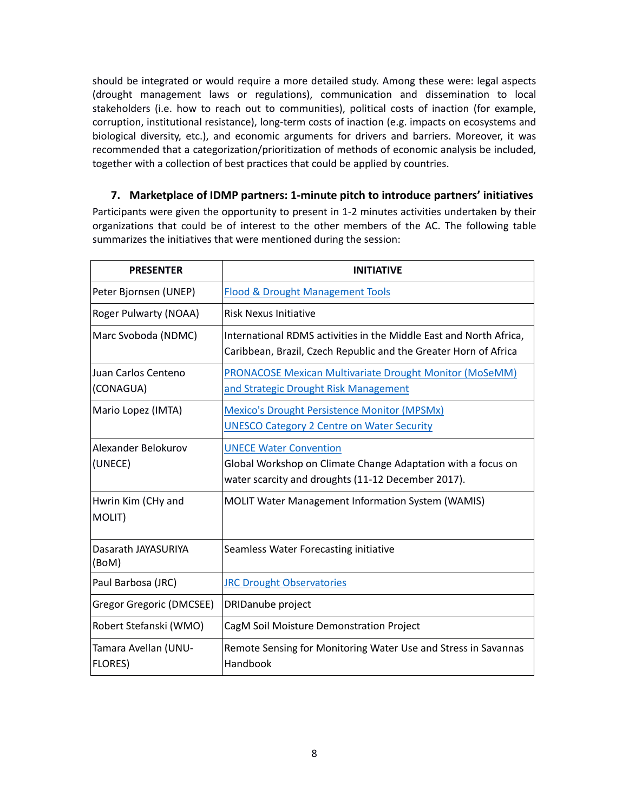should be integrated or would require a more detailed study. Among these were: legal aspects (drought management laws or regulations), communication and dissemination to local stakeholders (i.e. how to reach out to communities), political costs of inaction (for example, corruption, institutional resistance), long-term costs of inaction (e.g. impacts on ecosystems and biological diversity, etc.), and economic arguments for drivers and barriers. Moreover, it was recommended that a categorization/prioritization of methods of economic analysis be included, together with a collection of best practices that could be applied by countries.

#### <span id="page-7-0"></span>**7. Marketplace of IDMP partners: 1-minute pitch to introduce partners' initiatives**

Participants were given the opportunity to present in 1-2 minutes activities undertaken by their organizations that could be of interest to the other members of the AC. The following table summarizes the initiatives that were mentioned during the session:

| <b>PRESENTER</b>                       | <b>INITIATIVE</b>                                                                                                                                   |
|----------------------------------------|-----------------------------------------------------------------------------------------------------------------------------------------------------|
| Peter Bjornsen (UNEP)                  | <b>Flood &amp; Drought Management Tools</b>                                                                                                         |
| Roger Pulwarty (NOAA)                  | <b>Risk Nexus Initiative</b>                                                                                                                        |
| Marc Svoboda (NDMC)                    | International RDMS activities in the Middle East and North Africa,<br>Caribbean, Brazil, Czech Republic and the Greater Horn of Africa              |
| Juan Carlos Centeno<br>(CONAGUA)       | <b>PRONACOSE Mexican Multivariate Drought Monitor (MoSeMM)</b><br>and Strategic Drought Risk Management                                             |
| Mario Lopez (IMTA)                     | <b>Mexico's Drought Persistence Monitor (MPSMx)</b><br><b>UNESCO Category 2 Centre on Water Security</b>                                            |
| Alexander Belokurov<br>(UNECE)         | <b>UNECE Water Convention</b><br>Global Workshop on Climate Change Adaptation with a focus on<br>water scarcity and droughts (11-12 December 2017). |
| Hwrin Kim (CHy and<br>MOLIT)           | <b>MOLIT Water Management Information System (WAMIS)</b>                                                                                            |
| Dasarath JAYASURIYA<br>(BoM)           | Seamless Water Forecasting initiative                                                                                                               |
| Paul Barbosa (JRC)                     | <b>JRC Drought Observatories</b>                                                                                                                    |
| Gregor Gregoric (DMCSEE)               | DRIDanube project                                                                                                                                   |
| Robert Stefanski (WMO)                 | CagM Soil Moisture Demonstration Project                                                                                                            |
| Tamara Avellan (UNU-<br><b>FLORES)</b> | Remote Sensing for Monitoring Water Use and Stress in Savannas<br>Handbook                                                                          |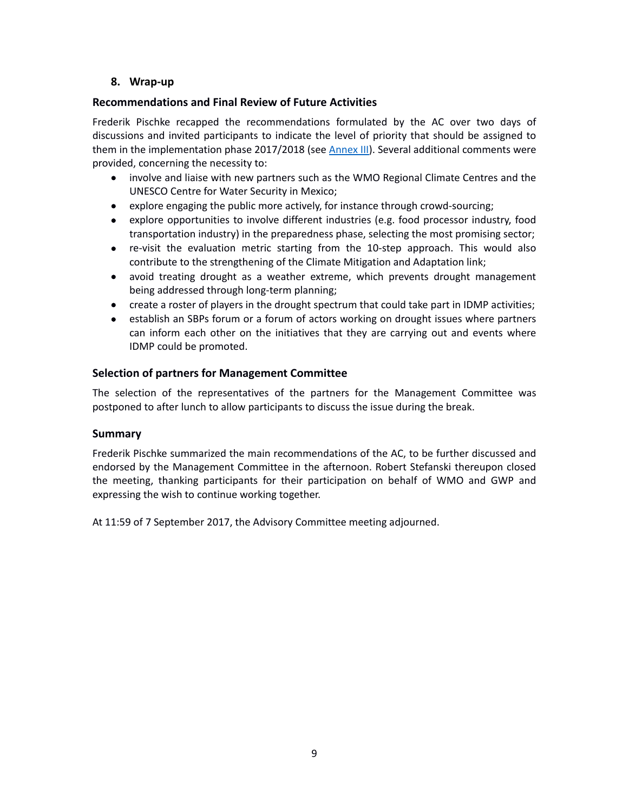#### <span id="page-8-0"></span>**8. Wrap-up**

#### <span id="page-8-1"></span>**Recommendations and Final Review of Future Activities**

Frederik Pischke recapped the recommendations formulated by the AC over two days of discussions and invited participants to indicate the level of priority that should be assigned to them in the implementation phase 2017/2018 (see *Annex III*). Several additional comments were provided, concerning the necessity to:

- involve and liaise with new partners such as the WMO Regional Climate Centres and the UNESCO Centre for Water Security in Mexico;
- explore engaging the public more actively, for instance through crowd-sourcing;
- explore opportunities to involve different industries (e.g. food processor industry, food transportation industry) in the preparedness phase, selecting the most promising sector;
- re-visit the evaluation metric starting from the 10-step approach. This would also contribute to the strengthening of the Climate Mitigation and Adaptation link;
- avoid treating drought as a weather extreme, which prevents drought management being addressed through long-term planning;
- create a roster of players in the drought spectrum that could take part in IDMP activities;
- establish an SBPs forum or a forum of actors working on drought issues where partners can inform each other on the initiatives that they are carrying out and events where IDMP could be promoted.

#### <span id="page-8-2"></span>**Selection of partners for Management Committee**

The selection of the representatives of the partners for the Management Committee was postponed to after lunch to allow participants to discuss the issue during the break.

#### <span id="page-8-3"></span>**Summary**

Frederik Pischke summarized the main recommendations of the AC, to be further discussed and endorsed by the Management Committee in the afternoon. Robert Stefanski thereupon closed the meeting, thanking participants for their participation on behalf of WMO and GWP and expressing the wish to continue working together.

At 11:59 of 7 September 2017, the Advisory Committee meeting adjourned.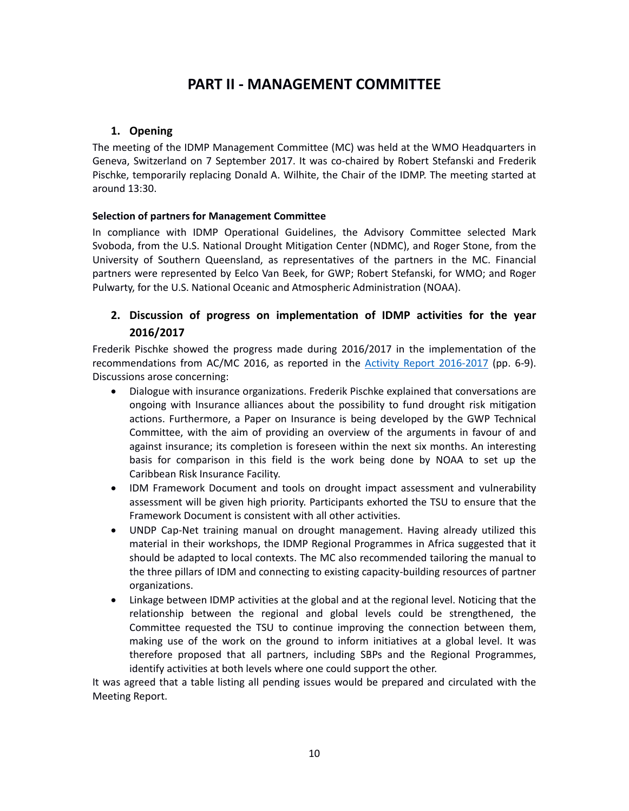# **PART II - MANAGEMENT COMMITTEE**

#### <span id="page-9-0"></span>**1. Opening**

<span id="page-9-1"></span>The meeting of the IDMP Management Committee (MC) was held at the WMO Headquarters in Geneva, Switzerland on 7 September 2017. It was co-chaired by Robert Stefanski and Frederik Pischke, temporarily replacing Donald A. Wilhite, the Chair of the IDMP. The meeting started at around 13:30.

#### **Selection of partners for Management Committee**

In compliance with IDMP Operational Guidelines, the Advisory Committee selected Mark Svoboda, from the U.S. National Drought Mitigation Center (NDMC), and Roger Stone, from the University of Southern Queensland, as representatives of the partners in the MC. Financial partners were represented by Eelco Van Beek, for GWP; Robert Stefanski, for WMO; and Roger Pulwarty, for the U.S. National Oceanic and Atmospheric Administration (NOAA).

### <span id="page-9-2"></span>**2. Discussion of progress on implementation of IDMP activities for the year 2016/2017**

Frederik Pischke showed the progress made during 2016/2017 in the implementation of the recommendations from AC/MC 2016, as reported in the [Activity Report 2016-2017](http://www.droughtmanagement.info/wp-content/uploads/2017/08/IDMP-Activity-Report-2016-2017-Work-Programme-2017-2019.pdf) (pp. 6-9). Discussions arose concerning:

- Dialogue with insurance organizations. Frederik Pischke explained that conversations are ongoing with Insurance alliances about the possibility to fund drought risk mitigation actions. Furthermore, a Paper on Insurance is being developed by the GWP Technical Committee, with the aim of providing an overview of the arguments in favour of and against insurance; its completion is foreseen within the next six months. An interesting basis for comparison in this field is the work being done by NOAA to set up the Caribbean Risk Insurance Facility.
- IDM Framework Document and tools on drought impact assessment and vulnerability assessment will be given high priority. Participants exhorted the TSU to ensure that the Framework Document is consistent with all other activities.
- UNDP Cap-Net training manual on drought management. Having already utilized this material in their workshops, the IDMP Regional Programmes in Africa suggested that it should be adapted to local contexts. The MC also recommended tailoring the manual to the three pillars of IDM and connecting to existing capacity-building resources of partner organizations.
- Linkage between IDMP activities at the global and at the regional level. Noticing that the relationship between the regional and global levels could be strengthened, the Committee requested the TSU to continue improving the connection between them, making use of the work on the ground to inform initiatives at a global level. It was therefore proposed that all partners, including SBPs and the Regional Programmes, identify activities at both levels where one could support the other.

It was agreed that a table listing all pending issues would be prepared and circulated with the Meeting Report.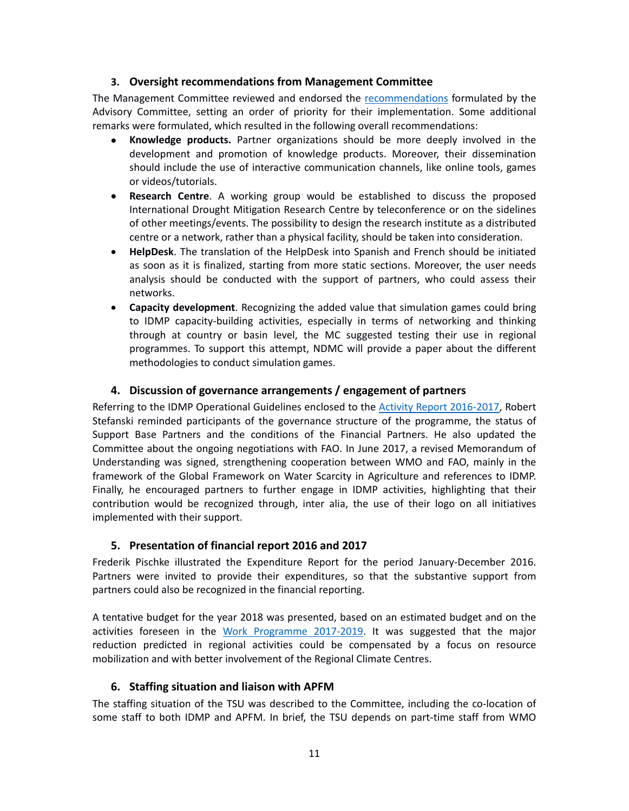#### **3. Oversight recommendations from Management Committee**

<span id="page-10-0"></span>The Management Committee reviewed and endorsed the [recommendations](#page-17-0) formulated by the Advisory Committee, setting an order of priority for their implementation. Some additional remarks were formulated, which resulted in the following overall recommendations:

- **Knowledge products.** Partner organizations should be more deeply involved in the development and promotion of knowledge products. Moreover, their dissemination should include the use of interactive communication channels, like online tools, games or videos/tutorials.
- **Research Centre**. A working group would be established to discuss the proposed International Drought Mitigation Research Centre by teleconference or on the sidelines of other meetings/events. The possibility to design the research institute as a distributed centre or a network, rather than a physical facility, should be taken into consideration.
- **HelpDesk**. The translation of the HelpDesk into Spanish and French should be initiated as soon as it is finalized, starting from more static sections. Moreover, the user needs analysis should be conducted with the support of partners, who could assess their networks.
- **Capacity development**. Recognizing the added value that simulation games could bring to IDMP capacity-building activities, especially in terms of networking and thinking through at country or basin level, the MC suggested testing their use in regional programmes. To support this attempt, NDMC will provide a paper about the different methodologies to conduct simulation games.

#### **4. Discussion of governance arrangements / engagement of partners**

<span id="page-10-1"></span>Referring to the IDMP Operational Guidelines enclosed to the Activity [Report 2016-2017,](http://www.droughtmanagement.info/wp-content/uploads/2017/08/IDMP-Activity-Report-2016-2017-Work-Programme-2017-2019.pdf) Robert Stefanski reminded participants of the governance structure of the programme, the status of Support Base Partners and the conditions of the Financial Partners. He also updated the Committee about the ongoing negotiations with FAO. In June 2017, a revised Memorandum of Understanding was signed, strengthening cooperation between WMO and FAO, mainly in the framework of the Global Framework on Water Scarcity in Agriculture and references to IDMP. Finally, he encouraged partners to further engage in IDMP activities, highlighting that their contribution would be recognized through, inter alia, the use of their logo on all initiatives implemented with their support.

#### **5. Presentation of financial report 2016 and 2017**

<span id="page-10-2"></span>Frederik Pischke illustrated the Expenditure Report for the period January-December 2016. Partners were invited to provide their expenditures, so that the substantive support from partners could also be recognized in the financial reporting.

A tentative budget for the year 2018 was presented, based on an estimated budget and on the activities foreseen in the [Work Programme 2017-2019.](http://www.droughtmanagement.info/wp-content/uploads/2017/08/IDMP-Activity-Report-2016-2017-Work-Programme-2017-2019.pdf) It was suggested that the major reduction predicted in regional activities could be compensated by a focus on resource mobilization and with better involvement of the Regional Climate Centres.

#### **6. Staffing situation and liaison with APFM**

<span id="page-10-3"></span>The staffing situation of the TSU was described to the Committee, including the co-location of some staff to both IDMP and APFM. In brief, the TSU depends on part-time staff from WMO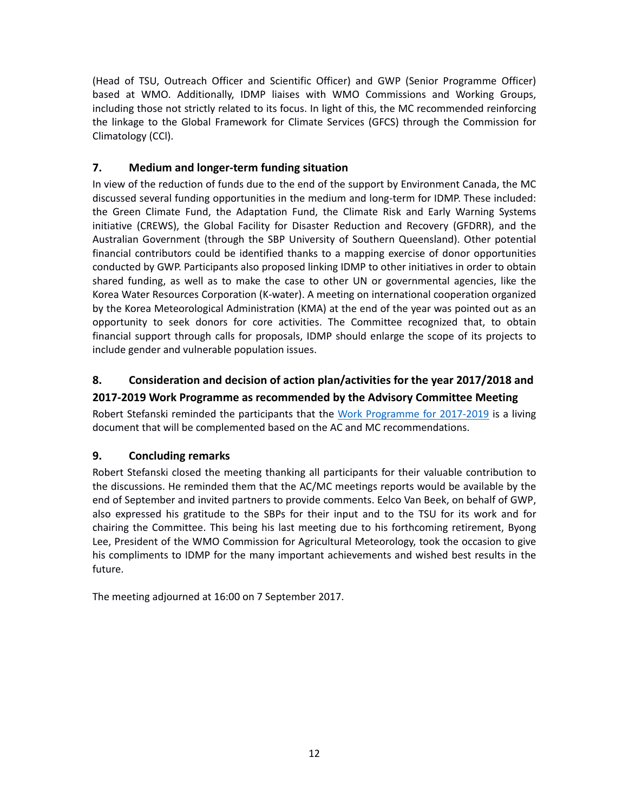(Head of TSU, Outreach Officer and Scientific Officer) and GWP (Senior Programme Officer) based at WMO. Additionally, IDMP liaises with WMO Commissions and Working Groups, including those not strictly related to its focus. In light of this, the MC recommended reinforcing the linkage to the Global Framework for Climate Services (GFCS) through the Commission for Climatology (CCl).

### <span id="page-11-0"></span>**7. Medium and longer-term funding situation**

In view of the reduction of funds due to the end of the support by Environment Canada, the MC discussed several funding opportunities in the medium and long-term for IDMP. These included: the Green Climate Fund, the Adaptation Fund, the Climate Risk and Early Warning Systems initiative (CREWS), the Global Facility for Disaster Reduction and Recovery (GFDRR), and the Australian Government (through the SBP University of Southern Queensland). Other potential financial contributors could be identified thanks to a mapping exercise of donor opportunities conducted by GWP. Participants also proposed linking IDMP to other initiatives in order to obtain shared funding, as well as to make the case to other UN or governmental agencies, like the Korea Water Resources Corporation (K-water). A meeting on international cooperation organized by the Korea Meteorological Administration (KMA) at the end of the year was pointed out as an opportunity to seek donors for core activities. The Committee recognized that, to obtain financial support through calls for proposals, IDMP should enlarge the scope of its projects to include gender and vulnerable population issues.

## <span id="page-11-1"></span>**8. Consideration and decision of action plan/activities for the year 2017/2018 and 2017-2019 Work Programme as recommended by the Advisory Committee Meeting**

Robert Stefanski reminded the participants that the [Work Programme for 2017-2019](http://www.droughtmanagement.info/wp-content/uploads/2017/08/IDMP-Activity-Report-2016-2017-Work-Programme-2017-2019.pdf) is a living document that will be complemented based on the AC and MC recommendations.

## <span id="page-11-2"></span>**9. Concluding remarks**

Robert Stefanski closed the meeting thanking all participants for their valuable contribution to the discussions. He reminded them that the AC/MC meetings reports would be available by the end of September and invited partners to provide comments. Eelco Van Beek, on behalf of GWP, also expressed his gratitude to the SBPs for their input and to the TSU for its work and for chairing the Committee. This being his last meeting due to his forthcoming retirement, Byong Lee, President of the WMO Commission for Agricultural Meteorology, took the occasion to give his compliments to IDMP for the many important achievements and wished best results in the future.

The meeting adjourned at 16:00 on 7 September 2017.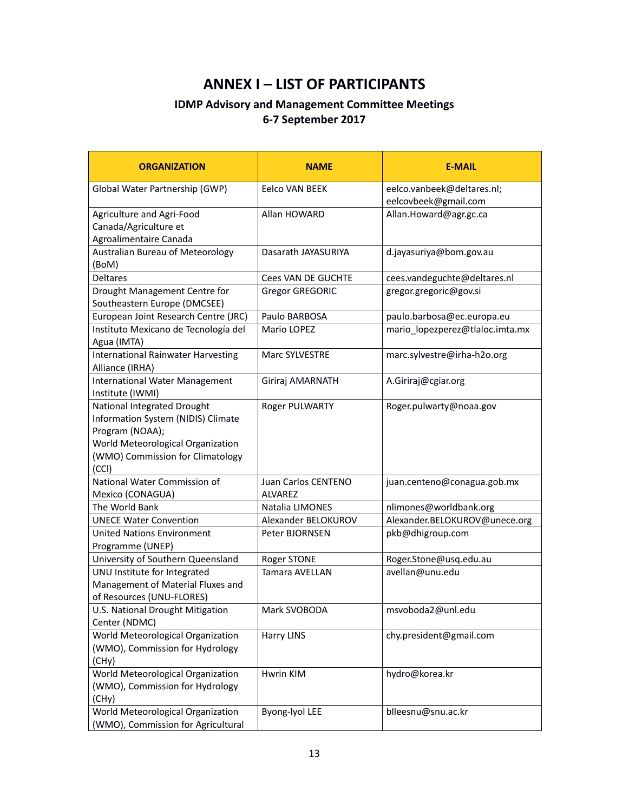# **ANNEX I – LIST OF PARTICIPANTS**

## **IDMP Advisory and Management Committee Meetings 6-7 September 2017**

<span id="page-12-0"></span>

| <b>ORGANIZATION</b>                       | <b>NAME</b>               | <b>E-MAIL</b>                   |
|-------------------------------------------|---------------------------|---------------------------------|
| Global Water Partnership (GWP)            | Eelco VAN BEEK            | eelco.vanbeek@deltares.nl;      |
|                                           |                           | eelcovbeek@gmail.com            |
| Agriculture and Agri-Food                 | Allan HOWARD              | Allan.Howard@agr.gc.ca          |
| Canada/Agriculture et                     |                           |                                 |
| Agroalimentaire Canada                    |                           |                                 |
| Australian Bureau of Meteorology<br>(BoM) | Dasarath JAYASURIYA       | d.jayasuriya@bom.gov.au         |
| <b>Deltares</b>                           | <b>Cees VAN DE GUCHTE</b> | cees.vandeguchte@deltares.nl    |
| Drought Management Centre for             | <b>Gregor GREGORIC</b>    | gregor.gregoric@gov.si          |
| Southeastern Europe (DMCSEE)              |                           |                                 |
| European Joint Research Centre (JRC)      | Paulo BARBOSA             | paulo.barbosa@ec.europa.eu      |
| Instituto Mexicano de Tecnología del      | Mario LOPEZ               | mario_lopezperez@tlaloc.imta.mx |
| Agua (IMTA)                               |                           |                                 |
| <b>International Rainwater Harvesting</b> | Marc SYLVESTRE            | marc.sylvestre@irha-h2o.org     |
| Alliance (IRHA)                           |                           |                                 |
| <b>International Water Management</b>     | Giriraj AMARNATH          | A.Giriraj@cgiar.org             |
| Institute (IWMI)                          |                           |                                 |
| National Integrated Drought               | Roger PULWARTY            | Roger.pulwarty@noaa.gov         |
| Information System (NIDIS) Climate        |                           |                                 |
| Program (NOAA);                           |                           |                                 |
| World Meteorological Organization         |                           |                                 |
| (WMO) Commission for Climatology          |                           |                                 |
| (CCI)<br>National Water Commission of     | Juan Carlos CENTENO       | juan.centeno@conagua.gob.mx     |
| Mexico (CONAGUA)                          | <b>ALVAREZ</b>            |                                 |
| The World Bank                            | Natalia LIMONES           | nlimones@worldbank.org          |
| <b>UNECE Water Convention</b>             | Alexander BELOKUROV       | Alexander.BELOKUROV@unece.org   |
| <b>United Nations Environment</b>         | Peter BJORNSEN            | pkb@dhigroup.com                |
| Programme (UNEP)                          |                           |                                 |
| University of Southern Queensland         | Roger STONE               | Roger.Stone@usq.edu.au          |
| UNU Institute for Integrated              | Tamara AVELLAN            | avellan@unu.edu                 |
| Management of Material Fluxes and         |                           |                                 |
| of Resources (UNU-FLORES)                 |                           |                                 |
| U.S. National Drought Mitigation          | Mark SVOBODA              | msvoboda2@unl.edu               |
| Center (NDMC)                             |                           |                                 |
| World Meteorological Organization         | <b>Harry LINS</b>         | chy.president@gmail.com         |
| (WMO), Commission for Hydrology           |                           |                                 |
| (CHy)                                     |                           |                                 |
| World Meteorological Organization         | Hwrin KIM                 | hydro@korea.kr                  |
| (WMO), Commission for Hydrology           |                           |                                 |
| (CHy)                                     |                           |                                 |
| World Meteorological Organization         | Byong-lyol LEE            | blleesnu@snu.ac.kr              |
| (WMO), Commission for Agricultural        |                           |                                 |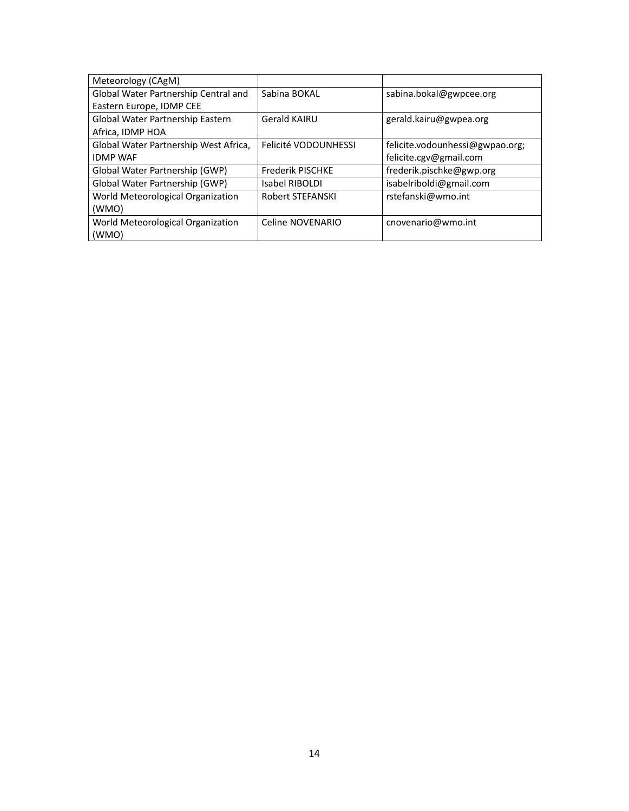| Meteorology (CAgM)                    |                         |                                 |
|---------------------------------------|-------------------------|---------------------------------|
| Global Water Partnership Central and  | Sabina BOKAL            | sabina.bokal@gwpcee.org         |
| Eastern Europe, IDMP CEE              |                         |                                 |
| Global Water Partnership Eastern      | <b>Gerald KAIRU</b>     | gerald.kairu@gwpea.org          |
| Africa, IDMP HOA                      |                         |                                 |
| Global Water Partnership West Africa, | Felicité VODOUNHESSI    | felicite.vodounhessi@gwpao.org; |
| <b>IDMP WAF</b>                       |                         | felicite.cgv@gmail.com          |
| Global Water Partnership (GWP)        | <b>Frederik PISCHKE</b> | frederik.pischke@gwp.org        |
| Global Water Partnership (GWP)        | Isabel RIBOLDI          | isabelriboldi@gmail.com         |
| World Meteorological Organization     | <b>Robert STEFANSKI</b> | rstefanski@wmo.int              |
| (WMO)                                 |                         |                                 |
| World Meteorological Organization     | Celine NOVENARIO        | cnovenario@wmo.int              |
| (WMO)                                 |                         |                                 |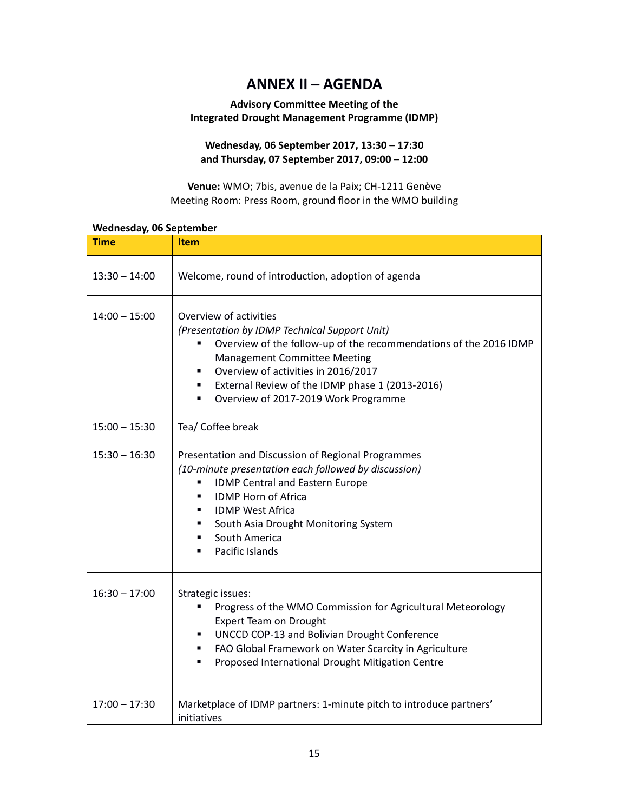# **ANNEX II – AGENDA**

#### <span id="page-14-0"></span>**Advisory Committee Meeting of the Integrated Drought Management Programme (IDMP)**

#### **Wednesday, 06 September 2017, 13:30 – 17:30 and Thursday, 07 September 2017, 09:00 – 12:00**

**Venue:** WMO; 7bis, avenue de la Paix; CH-1211 Genève Meeting Room: Press Room, ground floor in the WMO building

| $\sim$ $\sim$ ,<br><b>Time</b> | <b>Item</b>                                                                                                                                                                                                                                                                                                                     |
|--------------------------------|---------------------------------------------------------------------------------------------------------------------------------------------------------------------------------------------------------------------------------------------------------------------------------------------------------------------------------|
| $13:30 - 14:00$                | Welcome, round of introduction, adoption of agenda                                                                                                                                                                                                                                                                              |
| $14:00 - 15:00$                | Overview of activities<br>(Presentation by IDMP Technical Support Unit)<br>Overview of the follow-up of the recommendations of the 2016 IDMP<br><b>Management Committee Meeting</b><br>Overview of activities in 2016/2017<br>External Review of the IDMP phase 1 (2013-2016)<br>٠<br>Overview of 2017-2019 Work Programme<br>٠ |
| $15:00 - 15:30$                | Tea/ Coffee break                                                                                                                                                                                                                                                                                                               |
| $15:30 - 16:30$                | Presentation and Discussion of Regional Programmes<br>(10-minute presentation each followed by discussion)<br><b>IDMP Central and Eastern Europe</b><br>٠<br><b>IDMP Horn of Africa</b><br>٠<br><b>IDMP West Africa</b><br>South Asia Drought Monitoring System<br>South America<br>٠<br>Pacific Islands<br>٠                   |
| $16:30 - 17:00$                | Strategic issues:<br>Progress of the WMO Commission for Agricultural Meteorology<br><b>Expert Team on Drought</b><br>UNCCD COP-13 and Bolivian Drought Conference<br>٠<br>FAO Global Framework on Water Scarcity in Agriculture<br>٠.<br>Proposed International Drought Mitigation Centre<br>٠                                  |
| $17:00 - 17:30$                | Marketplace of IDMP partners: 1-minute pitch to introduce partners'<br>initiatives                                                                                                                                                                                                                                              |

#### **Wednesday, 06 September**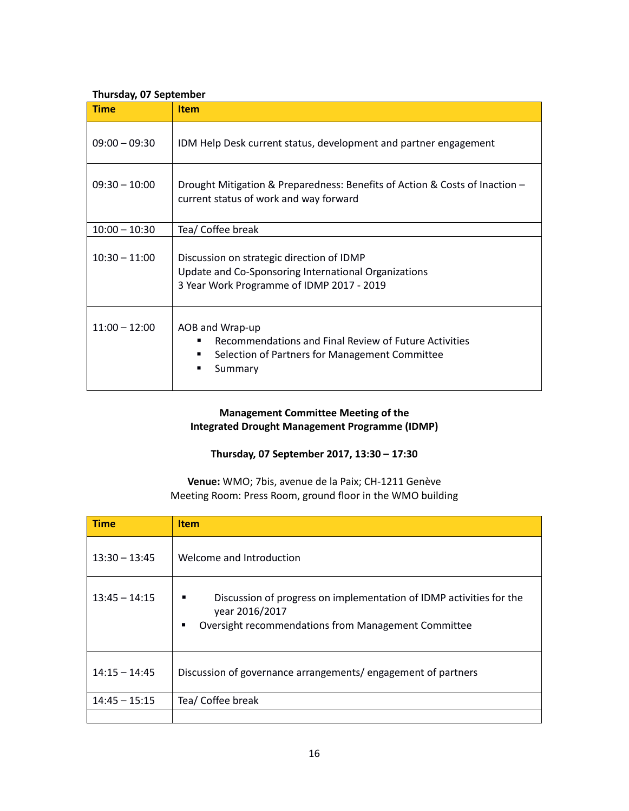#### **Thursday, 07 September**

| <b>Time</b>     | <b>Item</b>                                                                                                                                          |  |  |  |
|-----------------|------------------------------------------------------------------------------------------------------------------------------------------------------|--|--|--|
| $09:00 - 09:30$ | IDM Help Desk current status, development and partner engagement                                                                                     |  |  |  |
| $09:30 - 10:00$ | Drought Mitigation & Preparedness: Benefits of Action & Costs of Inaction -<br>current status of work and way forward                                |  |  |  |
| $10:00 - 10:30$ | Tea/ Coffee break                                                                                                                                    |  |  |  |
| $10:30 - 11:00$ | Discussion on strategic direction of IDMP<br>Update and Co-Sponsoring International Organizations<br>3 Year Work Programme of IDMP 2017 - 2019       |  |  |  |
| $11:00 - 12:00$ | AOB and Wrap-up<br>Recommendations and Final Review of Future Activities<br>٠<br>Selection of Partners for Management Committee<br>٠<br>Summary<br>٠ |  |  |  |

#### **Management Committee Meeting of the Integrated Drought Management Programme (IDMP)**

#### **Thursday, 07 September 2017, 13:30 – 17:30**

**Venue:** WMO; 7bis, avenue de la Paix; CH-1211 Genève Meeting Room: Press Room, ground floor in the WMO building

| <b>Time</b>     | <b>Item</b>                                                                                                                                            |
|-----------------|--------------------------------------------------------------------------------------------------------------------------------------------------------|
| $13:30 - 13:45$ | Welcome and Introduction                                                                                                                               |
| $13:45 - 14:15$ | Discussion of progress on implementation of IDMP activities for the<br>٠<br>year 2016/2017<br>Oversight recommendations from Management Committee<br>٠ |
| $14:15 - 14:45$ | Discussion of governance arrangements/engagement of partners                                                                                           |
| $14:45 - 15:15$ | Tea/ Coffee break                                                                                                                                      |
|                 |                                                                                                                                                        |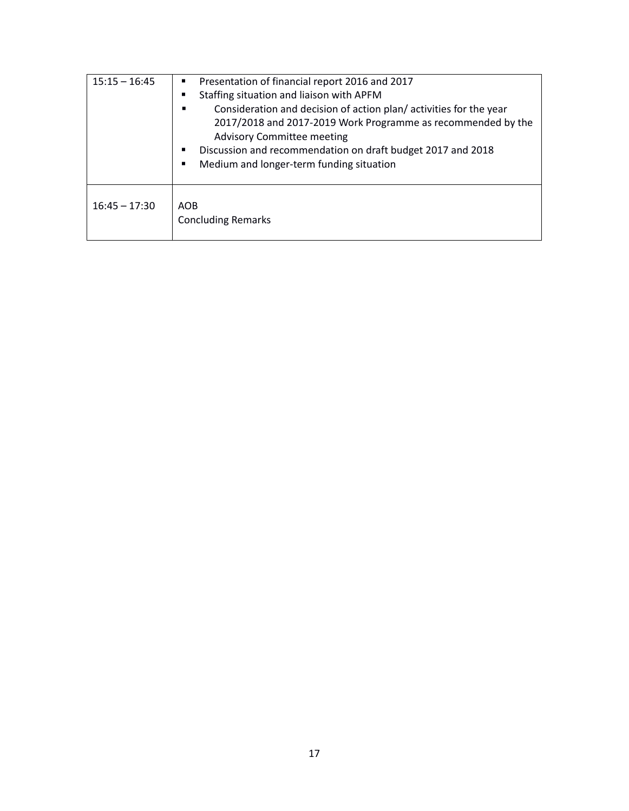| $15:15 - 16:45$ | Presentation of financial report 2016 and 2017                    |  |  |  |  |
|-----------------|-------------------------------------------------------------------|--|--|--|--|
|                 | Staffing situation and liaison with APFM                          |  |  |  |  |
|                 | Consideration and decision of action plan/activities for the year |  |  |  |  |
|                 | 2017/2018 and 2017-2019 Work Programme as recommended by the      |  |  |  |  |
|                 | <b>Advisory Committee meeting</b>                                 |  |  |  |  |
|                 | Discussion and recommendation on draft budget 2017 and 2018       |  |  |  |  |
|                 | Medium and longer-term funding situation                          |  |  |  |  |
|                 |                                                                   |  |  |  |  |
| $16:45 - 17:30$ | <b>AOB</b><br><b>Concluding Remarks</b>                           |  |  |  |  |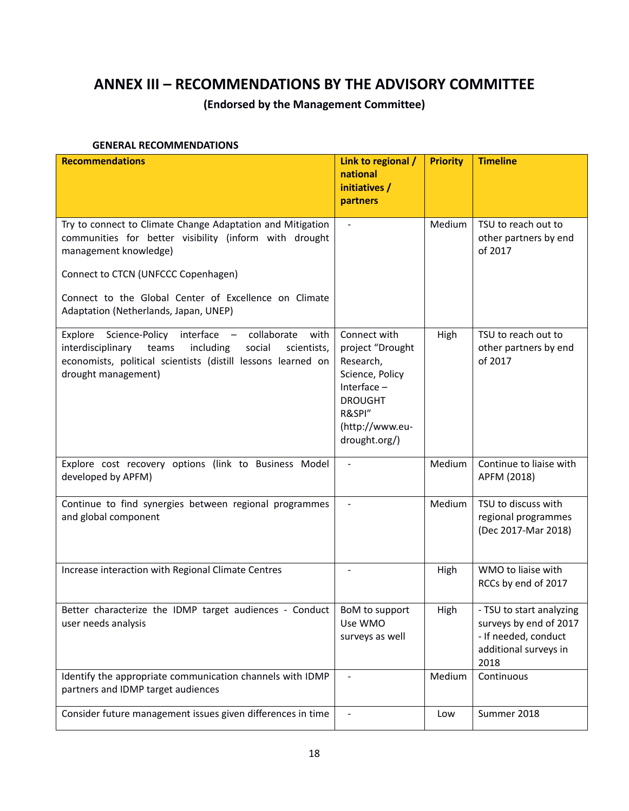# <span id="page-17-0"></span>**ANNEX III – RECOMMENDATIONS BY THE ADVISORY COMMITTEE**

### **(Endorsed by the Management Committee)**

#### **GENERAL RECOMMENDATIONS**

| <b>Recommendations</b>                                                                                                                                                                                                                        | Link to regional /<br>national<br>initiatives /                                                                                                   | <b>Priority</b> | <b>Timeline</b>                                                                                             |
|-----------------------------------------------------------------------------------------------------------------------------------------------------------------------------------------------------------------------------------------------|---------------------------------------------------------------------------------------------------------------------------------------------------|-----------------|-------------------------------------------------------------------------------------------------------------|
|                                                                                                                                                                                                                                               | partners                                                                                                                                          |                 |                                                                                                             |
| Try to connect to Climate Change Adaptation and Mitigation<br>communities for better visibility (inform with drought<br>management knowledge)<br>Connect to CTCN (UNFCCC Copenhagen)<br>Connect to the Global Center of Excellence on Climate | $\blacksquare$                                                                                                                                    | Medium          | TSU to reach out to<br>other partners by end<br>of 2017                                                     |
| Adaptation (Netherlands, Japan, UNEP)                                                                                                                                                                                                         |                                                                                                                                                   |                 |                                                                                                             |
| interface -<br>Explore Science-Policy<br>collaborate<br>with<br>interdisciplinary<br>teams<br>including<br>social<br>scientists,<br>economists, political scientists (distill lessons learned on<br>drought management)                       | Connect with<br>project "Drought<br>Research,<br>Science, Policy<br>Interface $-$<br><b>DROUGHT</b><br>R&SPI"<br>(http://www.eu-<br>drought.org/) | High            | TSU to reach out to<br>other partners by end<br>of 2017                                                     |
| Explore cost recovery options (link to Business Model<br>developed by APFM)                                                                                                                                                                   | $\blacksquare$                                                                                                                                    | Medium          | Continue to liaise with<br>APFM (2018)                                                                      |
| Continue to find synergies between regional programmes<br>and global component                                                                                                                                                                |                                                                                                                                                   | Medium          | TSU to discuss with<br>regional programmes<br>(Dec 2017-Mar 2018)                                           |
| Increase interaction with Regional Climate Centres                                                                                                                                                                                            |                                                                                                                                                   | High            | WMO to liaise with<br>RCCs by end of 2017                                                                   |
| Better characterize the IDMP target audiences - Conduct<br>user needs analysis                                                                                                                                                                | BoM to support<br>Use WMO<br>surveys as well                                                                                                      | High            | - TSU to start analyzing<br>surveys by end of 2017<br>- If needed, conduct<br>additional surveys in<br>2018 |
| Identify the appropriate communication channels with IDMP<br>partners and IDMP target audiences                                                                                                                                               |                                                                                                                                                   | Medium          | Continuous                                                                                                  |
| Consider future management issues given differences in time                                                                                                                                                                                   |                                                                                                                                                   | Low             | Summer 2018                                                                                                 |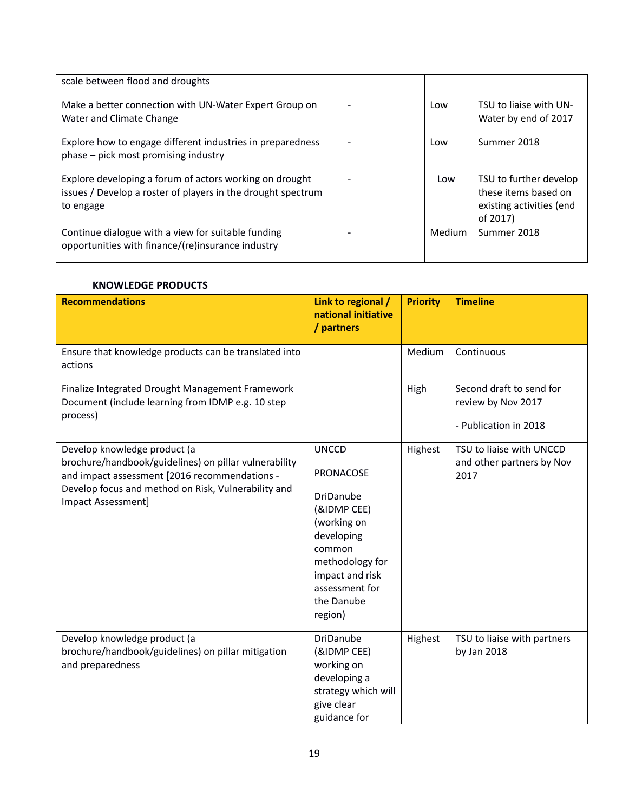| scale between flood and droughts                                                                                                     |               |                                                                                        |
|--------------------------------------------------------------------------------------------------------------------------------------|---------------|----------------------------------------------------------------------------------------|
| Make a better connection with UN-Water Expert Group on<br>Water and Climate Change                                                   | Low           | TSU to liaise with UN-<br>Water by end of 2017                                         |
| Explore how to engage different industries in preparedness<br>phase - pick most promising industry                                   | Low           | Summer 2018                                                                            |
| Explore developing a forum of actors working on drought<br>issues / Develop a roster of players in the drought spectrum<br>to engage | Low           | TSU to further develop<br>these items based on<br>existing activities (end<br>of 2017) |
| Continue dialogue with a view for suitable funding<br>opportunities with finance/(re)insurance industry                              | <b>Medium</b> | Summer 2018                                                                            |

#### **KNOWLEDGE PRODUCTS**

| <b>Recommendations</b>                                                                                                                                                                                              | Link to regional /<br>national initiative<br>/ partners                                                                                                                       | <b>Priority</b> | <b>Timeline</b>                                                         |
|---------------------------------------------------------------------------------------------------------------------------------------------------------------------------------------------------------------------|-------------------------------------------------------------------------------------------------------------------------------------------------------------------------------|-----------------|-------------------------------------------------------------------------|
| Ensure that knowledge products can be translated into<br>actions                                                                                                                                                    |                                                                                                                                                                               | Medium          | Continuous                                                              |
| Finalize Integrated Drought Management Framework<br>Document (include learning from IDMP e.g. 10 step<br>process)                                                                                                   |                                                                                                                                                                               | High            | Second draft to send for<br>review by Nov 2017<br>- Publication in 2018 |
| Develop knowledge product (a<br>brochure/handbook/guidelines) on pillar vulnerability<br>and impact assessment [2016 recommendations -<br>Develop focus and method on Risk, Vulnerability and<br>Impact Assessment] | <b>UNCCD</b><br>PRONACOSE<br>DriDanube<br>(&IDMP CEE)<br>(working on<br>developing<br>common<br>methodology for<br>impact and risk<br>assessment for<br>the Danube<br>region) | Highest         | TSU to liaise with UNCCD<br>and other partners by Nov<br>2017           |
| Develop knowledge product (a<br>brochure/handbook/guidelines) on pillar mitigation<br>and preparedness                                                                                                              | DriDanube<br>(&IDMP CEE)<br>working on<br>developing a<br>strategy which will<br>give clear<br>guidance for                                                                   | Highest         | TSU to liaise with partners<br>by Jan 2018                              |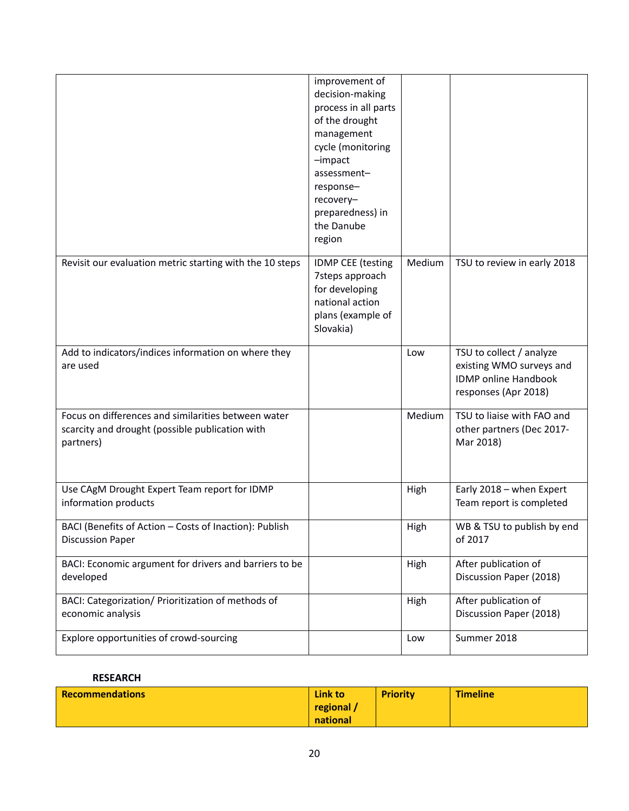|                                                                                                                     | improvement of<br>decision-making<br>process in all parts<br>of the drought<br>management<br>cycle (monitoring<br>$-impect$<br>assessment-<br>response-<br>recovery-<br>preparedness) in<br>the Danube<br>region |        |                                                                                                             |
|---------------------------------------------------------------------------------------------------------------------|------------------------------------------------------------------------------------------------------------------------------------------------------------------------------------------------------------------|--------|-------------------------------------------------------------------------------------------------------------|
| Revisit our evaluation metric starting with the 10 steps                                                            | <b>IDMP CEE (testing</b><br>7steps approach<br>for developing<br>national action<br>plans (example of<br>Slovakia)                                                                                               | Medium | TSU to review in early 2018                                                                                 |
| Add to indicators/indices information on where they<br>are used                                                     |                                                                                                                                                                                                                  | Low    | TSU to collect / analyze<br>existing WMO surveys and<br><b>IDMP</b> online Handbook<br>responses (Apr 2018) |
| Focus on differences and similarities between water<br>scarcity and drought (possible publication with<br>partners) |                                                                                                                                                                                                                  | Medium | TSU to liaise with FAO and<br>other partners (Dec 2017-<br>Mar 2018)                                        |
| Use CAgM Drought Expert Team report for IDMP<br>information products                                                |                                                                                                                                                                                                                  | High   | Early 2018 - when Expert<br>Team report is completed                                                        |
| BACI (Benefits of Action - Costs of Inaction): Publish<br><b>Discussion Paper</b>                                   |                                                                                                                                                                                                                  | High   | WB & TSU to publish by end<br>of 2017                                                                       |
| BACI: Economic argument for drivers and barriers to be<br>developed                                                 |                                                                                                                                                                                                                  | High   | After publication of<br>Discussion Paper (2018)                                                             |
| BACI: Categorization/ Prioritization of methods of<br>economic analysis                                             |                                                                                                                                                                                                                  | High   | After publication of<br>Discussion Paper (2018)                                                             |
| Explore opportunities of crowd-sourcing                                                                             |                                                                                                                                                                                                                  | Low    | Summer 2018                                                                                                 |

#### **RESEARCH**

| <b>Recommendations</b> | Link to  | <b>Priority</b> | <b>Timeline</b> |
|------------------------|----------|-----------------|-----------------|
|                        | regional |                 |                 |
|                        | national |                 |                 |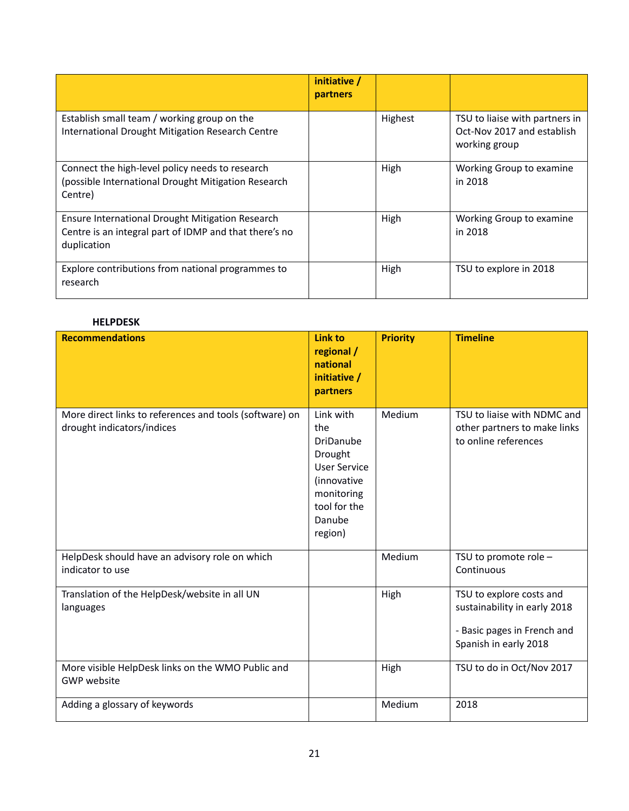|                                                                                                                           | initiative /<br>partners |         |                                                                               |
|---------------------------------------------------------------------------------------------------------------------------|--------------------------|---------|-------------------------------------------------------------------------------|
| Establish small team / working group on the<br>International Drought Mitigation Research Centre                           |                          | Highest | TSU to liaise with partners in<br>Oct-Nov 2017 and establish<br>working group |
| Connect the high-level policy needs to research<br>(possible International Drought Mitigation Research<br>Centre)         |                          | High    | Working Group to examine<br>in 2018                                           |
| Ensure International Drought Mitigation Research<br>Centre is an integral part of IDMP and that there's no<br>duplication |                          | High    | Working Group to examine<br>in 2018                                           |
| Explore contributions from national programmes to<br>research                                                             |                          | High    | TSU to explore in 2018                                                        |

#### **HELPDESK**

| <b>Recommendations</b>                                                                | <b>Link to</b><br>regional /<br>national<br>initiative /<br>partners                                                                     | <b>Priority</b> | <b>Timeline</b>                                                                                                  |
|---------------------------------------------------------------------------------------|------------------------------------------------------------------------------------------------------------------------------------------|-----------------|------------------------------------------------------------------------------------------------------------------|
| More direct links to references and tools (software) on<br>drought indicators/indices | Link with<br>the<br><b>DriDanube</b><br>Drought<br><b>User Service</b><br>(innovative<br>monitoring<br>tool for the<br>Danube<br>region) | Medium          | TSU to liaise with NDMC and<br>other partners to make links<br>to online references                              |
| HelpDesk should have an advisory role on which<br>indicator to use                    |                                                                                                                                          | Medium          | TSU to promote role -<br>Continuous                                                                              |
| Translation of the HelpDesk/website in all UN<br>languages                            |                                                                                                                                          | High            | TSU to explore costs and<br>sustainability in early 2018<br>- Basic pages in French and<br>Spanish in early 2018 |
| More visible HelpDesk links on the WMO Public and<br><b>GWP</b> website               |                                                                                                                                          | High            | TSU to do in Oct/Nov 2017                                                                                        |
| Adding a glossary of keywords                                                         |                                                                                                                                          | Medium          | 2018                                                                                                             |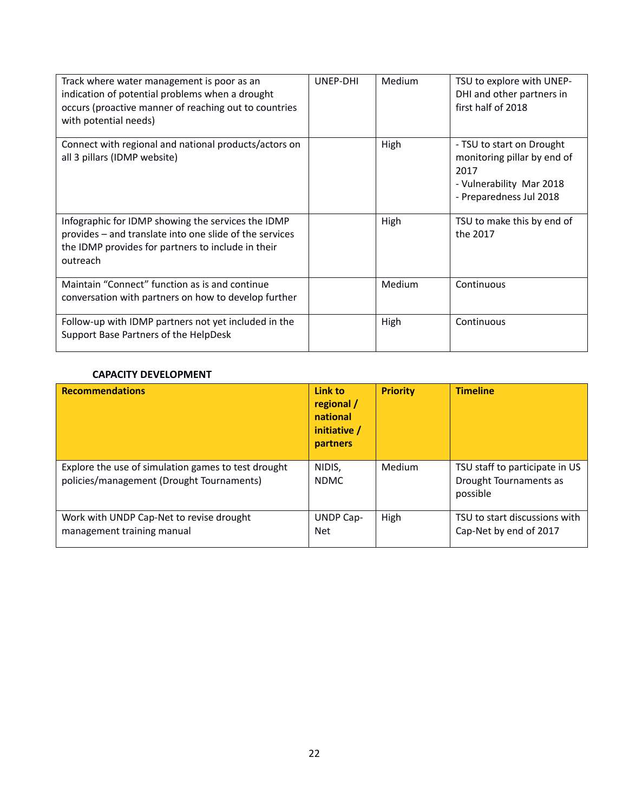| Track where water management is poor as an<br>indication of potential problems when a drought<br>occurs (proactive manner of reaching out to countries<br>with potential needs) | UNEP-DHI | Medium | TSU to explore with UNEP-<br>DHI and other partners in<br>first half of 2018                                            |
|---------------------------------------------------------------------------------------------------------------------------------------------------------------------------------|----------|--------|-------------------------------------------------------------------------------------------------------------------------|
| Connect with regional and national products/actors on<br>all 3 pillars (IDMP website)                                                                                           |          | High   | - TSU to start on Drought<br>monitoring pillar by end of<br>2017<br>- Vulnerability Mar 2018<br>- Preparedness Jul 2018 |
| Infographic for IDMP showing the services the IDMP<br>provides - and translate into one slide of the services<br>the IDMP provides for partners to include in their<br>outreach |          | High   | TSU to make this by end of<br>the 2017                                                                                  |
| Maintain "Connect" function as is and continue<br>conversation with partners on how to develop further                                                                          |          | Medium | Continuous                                                                                                              |
| Follow-up with IDMP partners not yet included in the<br>Support Base Partners of the HelpDesk                                                                                   |          | High   | Continuous                                                                                                              |

#### **CAPACITY DEVELOPMENT**

| <b>Recommendations</b>                                                                           | Link to<br>regional /<br>national<br>initiative /<br>partners | <b>Priority</b> | <b>Timeline</b>                                                      |
|--------------------------------------------------------------------------------------------------|---------------------------------------------------------------|-----------------|----------------------------------------------------------------------|
| Explore the use of simulation games to test drought<br>policies/management (Drought Tournaments) | NIDIS,<br><b>NDMC</b>                                         | Medium          | TSU staff to participate in US<br>Drought Tournaments as<br>possible |
| Work with UNDP Cap-Net to revise drought<br>management training manual                           | UNDP Cap-<br>Net                                              | High            | TSU to start discussions with<br>Cap-Net by end of 2017              |